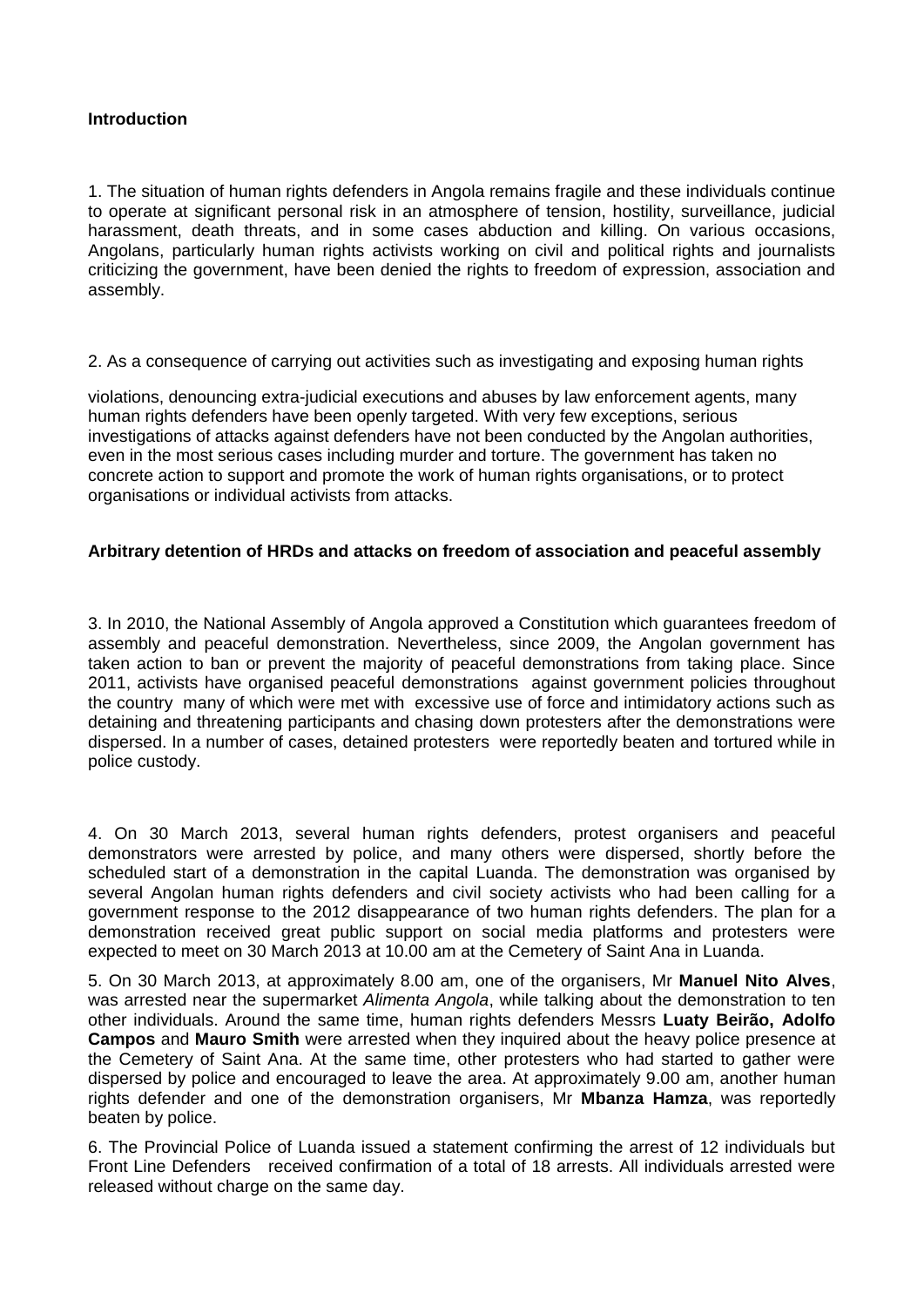### **Introduction**

1. The situation of human rights defenders in Angola remains fragile and these individuals continue to operate at significant personal risk in an atmosphere of tension, hostility, surveillance, judicial harassment, death threats, and in some cases abduction and killing. On various occasions, Angolans, particularly human rights activists working on civil and political rights and journalists criticizing the government, have been denied the rights to freedom of expression, association and assembly.

2. As a consequence of carrying out activities such as investigating and exposing human rights

violations, denouncing extra-judicial executions and abuses by law enforcement agents, many human rights defenders have been openly targeted. With very few exceptions, serious investigations of attacks against defenders have not been conducted by the Angolan authorities, even in the most serious cases including murder and torture. The government has taken no concrete action to support and promote the work of human rights organisations, or to protect organisations or individual activists from attacks.

# **Arbitrary detention of HRDs and attacks on freedom of association and peaceful assembly**

3. In 2010, the National Assembly of Angola approved a Constitution which guarantees freedom of assembly and peaceful demonstration. Nevertheless, since 2009, the Angolan government has taken action to ban or prevent the majority of peaceful demonstrations from taking place. Since 2011, activists have organised peaceful demonstrations against government policies throughout the country many of which were met with excessive use of force and intimidatory actions such as detaining and threatening participants and chasing down protesters after the demonstrations were dispersed. In a number of cases, detained protesters were reportedly beaten and tortured while in police custody.

4. On 30 March 2013, several human rights defenders, protest organisers and peaceful demonstrators were arrested by police, and many others were dispersed, shortly before the scheduled start of a demonstration in the capital Luanda. The demonstration was organised by several Angolan human rights defenders and civil society activists who had been calling for a government response to the 2012 disappearance of two human rights defenders. The plan for a demonstration received great public support on social media platforms and protesters were expected to meet on 30 March 2013 at 10.00 am at the Cemetery of Saint Ana in Luanda.

5. On 30 March 2013, at approximately 8.00 am, one of the organisers, Mr **Manuel Nito Alves**, was arrested near the supermarket *Alimenta Angola*, while talking about the demonstration to ten other individuals. Around the same time, human rights defenders Messrs **Luaty Beirão, Adolfo Campos** and **Mauro Smith** were arrested when they inquired about the heavy police presence at the Cemetery of Saint Ana. At the same time, other protesters who had started to gather were dispersed by police and encouraged to leave the area. At approximately 9.00 am, another human rights defender and one of the demonstration organisers, Mr **Mbanza Hamza**, was reportedly beaten by police.

6. The Provincial Police of Luanda issued a statement confirming the arrest of 12 individuals but Front Line Defenders received confirmation of a total of 18 arrests. All individuals arrested were released without charge on the same day.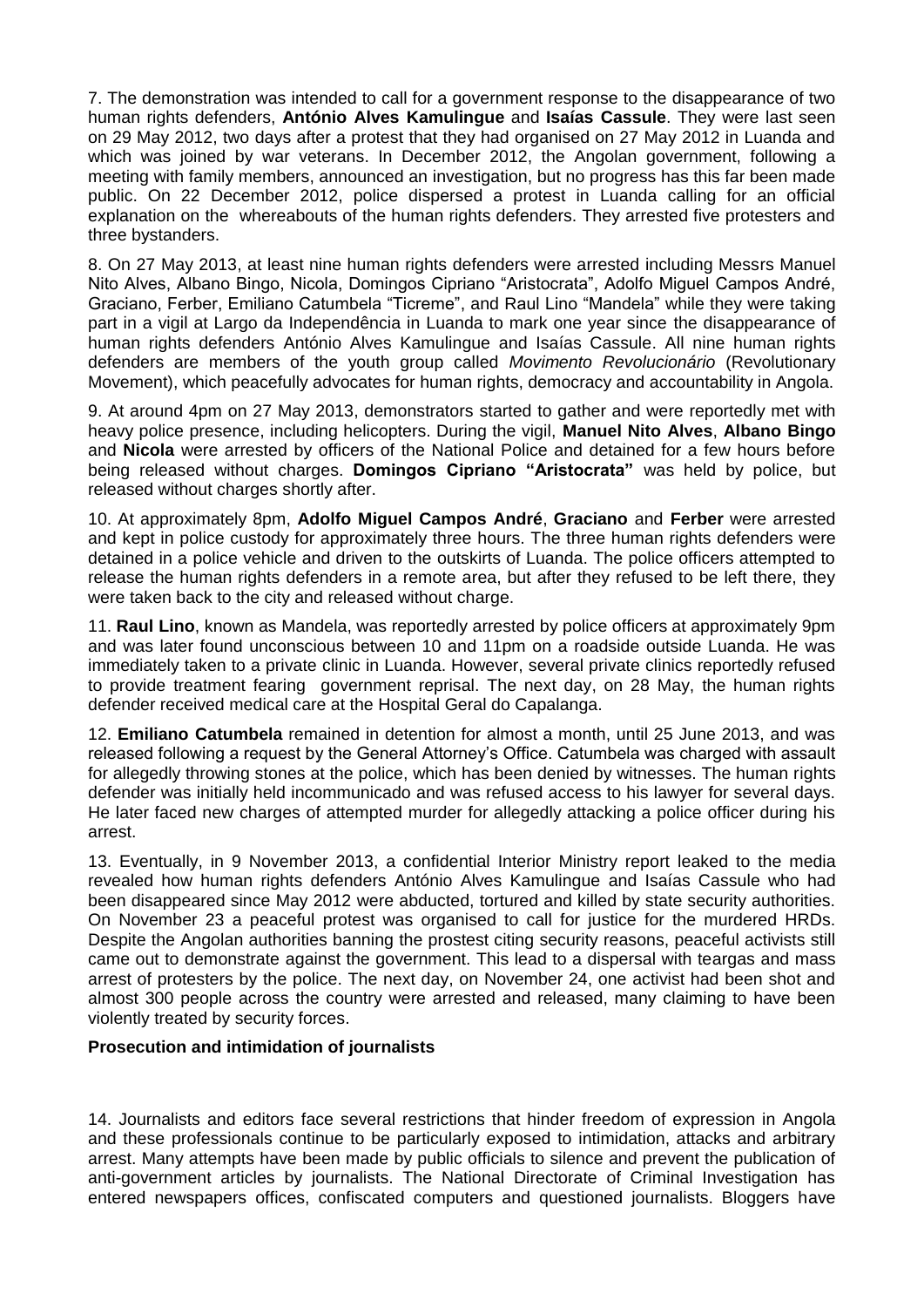7. The demonstration was intended to call for a government response to the disappearance of two human rights defenders, **António Alves Kamulingue** and **Isaías Cassule**. They were last seen on 29 May 2012, two days after a protest that they had organised on 27 May 2012 in Luanda and which was joined by war veterans. In December 2012, the Angolan government, following a meeting with family members, announced an investigation, but no progress has this far been made public. On 22 December 2012, police dispersed a protest in Luanda calling for an official explanation on the whereabouts of the human rights defenders. They arrested five protesters and three bystanders.

8. On 27 May 2013, at least nine human rights defenders were arrested including Messrs Manuel Nito Alves, Albano Bingo, Nicola, Domingos Cipriano "Aristocrata", Adolfo Miguel Campos André, Graciano, Ferber, Emiliano Catumbela "Ticreme", and Raul Lino "Mandela" while they were taking part in a vigil at Largo da Independência in Luanda to mark one year since the disappearance of human rights defenders António Alves Kamulingue and Isaías Cassule. All nine human rights defenders are members of the youth group called *Movimento Revolucionário* (Revolutionary Movement), which peacefully advocates for human rights, democracy and accountability in Angola.

9. At around 4pm on 27 May 2013, demonstrators started to gather and were reportedly met with heavy police presence, including helicopters. During the vigil, **Manuel Nito Alves**, **Albano Bingo**  and **Nicola** were arrested by officers of the National Police and detained for a few hours before being released without charges. **Domingos Cipriano "Aristocrata"** was held by police, but released without charges shortly after.

10. At approximately 8pm, **Adolfo Miguel Campos André**, **Graciano** and **Ferber** were arrested and kept in police custody for approximately three hours. The three human rights defenders were detained in a police vehicle and driven to the outskirts of Luanda. The police officers attempted to release the human rights defenders in a remote area, but after they refused to be left there, they were taken back to the city and released without charge.

11. **Raul Lino**, known as Mandela, was reportedly arrested by police officers at approximately 9pm and was later found unconscious between 10 and 11pm on a roadside outside Luanda. He was immediately taken to a private clinic in Luanda. However, several private clinics reportedly refused to provide treatment fearing government reprisal. The next day, on 28 May, the human rights defender received medical care at the Hospital Geral do Capalanga.

12. **Emiliano Catumbela** remained in detention for almost a month, until 25 June 2013, and was released following a request by the General Attorney's Office. Catumbela was charged with assault for allegedly throwing stones at the police, which has been denied by witnesses. The human rights defender was initially held incommunicado and was refused access to his lawyer for several days. He later faced new charges of attempted murder for allegedly attacking a police officer during his arrest.

13. Eventually, in 9 November 2013, a confidential Interior Ministry report leaked to the media revealed how human rights defenders António Alves Kamulingue and Isaías Cassule who had been disappeared since May 2012 were abducted, tortured and killed by state security authorities. On November 23 a peaceful protest was organised to call for justice for the murdered HRDs. Despite the Angolan authorities banning the prostest citing security reasons, peaceful activists still came out to demonstrate against the government. This lead to a dispersal with teargas and mass arrest of protesters by the police. The next day, on November 24, one activist had been shot and almost 300 people across the country were arrested and released, many claiming to have been violently treated by security forces.

# **Prosecution and intimidation of journalists**

14. Journalists and editors face several restrictions that hinder freedom of expression in Angola and these professionals continue to be particularly exposed to intimidation, attacks and arbitrary arrest. Many attempts have been made by public officials to silence and prevent the publication of anti-government articles by journalists. The National Directorate of Criminal Investigation has entered newspapers offices, confiscated computers and questioned journalists. Bloggers have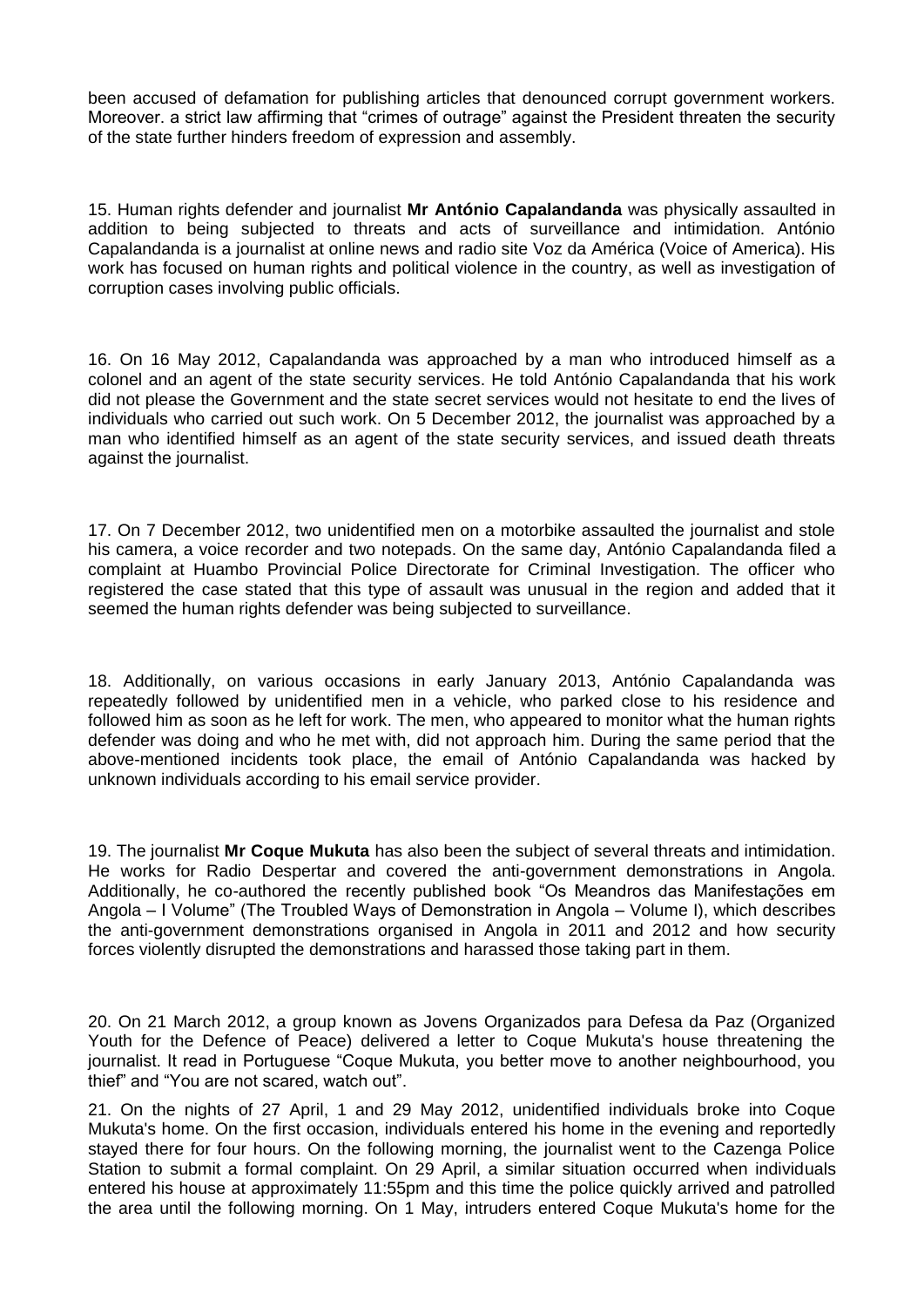been accused of defamation for publishing articles that denounced corrupt government workers. Moreover. a strict law affirming that "crimes of outrage" against the President threaten the security of the state further hinders freedom of expression and assembly.

15. Human rights defender and journalist **Mr António Capalandanda** was physically assaulted in addition to being subjected to threats and acts of surveillance and intimidation. António Capalandanda is a journalist at online news and radio site Voz da América (Voice of America). His work has focused on human rights and political violence in the country, as well as investigation of corruption cases involving public officials.

16. On 16 May 2012, Capalandanda was approached by a man who introduced himself as a colonel and an agent of the state security services. He told António Capalandanda that his work did not please the Government and the state secret services would not hesitate to end the lives of individuals who carried out such work. On 5 December 2012, the journalist was approached by a man who identified himself as an agent of the state security services, and issued death threats against the journalist.

17. On 7 December 2012, two unidentified men on a motorbike assaulted the journalist and stole his camera, a voice recorder and two notepads. On the same day, António Capalandanda filed a complaint at Huambo Provincial Police Directorate for Criminal Investigation. The officer who registered the case stated that this type of assault was unusual in the region and added that it seemed the human rights defender was being subjected to surveillance.

18. Additionally, on various occasions in early January 2013, António Capalandanda was repeatedly followed by unidentified men in a vehicle, who parked close to his residence and followed him as soon as he left for work. The men, who appeared to monitor what the human rights defender was doing and who he met with, did not approach him. During the same period that the above-mentioned incidents took place, the email of António Capalandanda was hacked by unknown individuals according to his email service provider.

19. The journalist **Mr Coque Mukuta** has also been the subject of several threats and intimidation. He works for Radio Despertar and covered the anti-government demonstrations in Angola. Additionally, he co-authored the recently published book "Os Meandros das Manifestações em Angola – I Volume" (The Troubled Ways of Demonstration in Angola – Volume I), which describes the anti-government demonstrations organised in Angola in 2011 and 2012 and how security forces violently disrupted the demonstrations and harassed those taking part in them.

20. On 21 March 2012, a group known as Jovens Organizados para Defesa da Paz (Organized Youth for the Defence of Peace) delivered a letter to Coque Mukuta's house threatening the journalist. It read in Portuguese "Coque Mukuta, you better move to another neighbourhood, you thief" and "You are not scared, watch out".

21. On the nights of 27 April, 1 and 29 May 2012, unidentified individuals broke into Coque Mukuta's home. On the first occasion, individuals entered his home in the evening and reportedly stayed there for four hours. On the following morning, the journalist went to the Cazenga Police Station to submit a formal complaint. On 29 April, a similar situation occurred when individuals entered his house at approximately 11:55pm and this time the police quickly arrived and patrolled the area until the following morning. On 1 May, intruders entered Coque Mukuta's home for the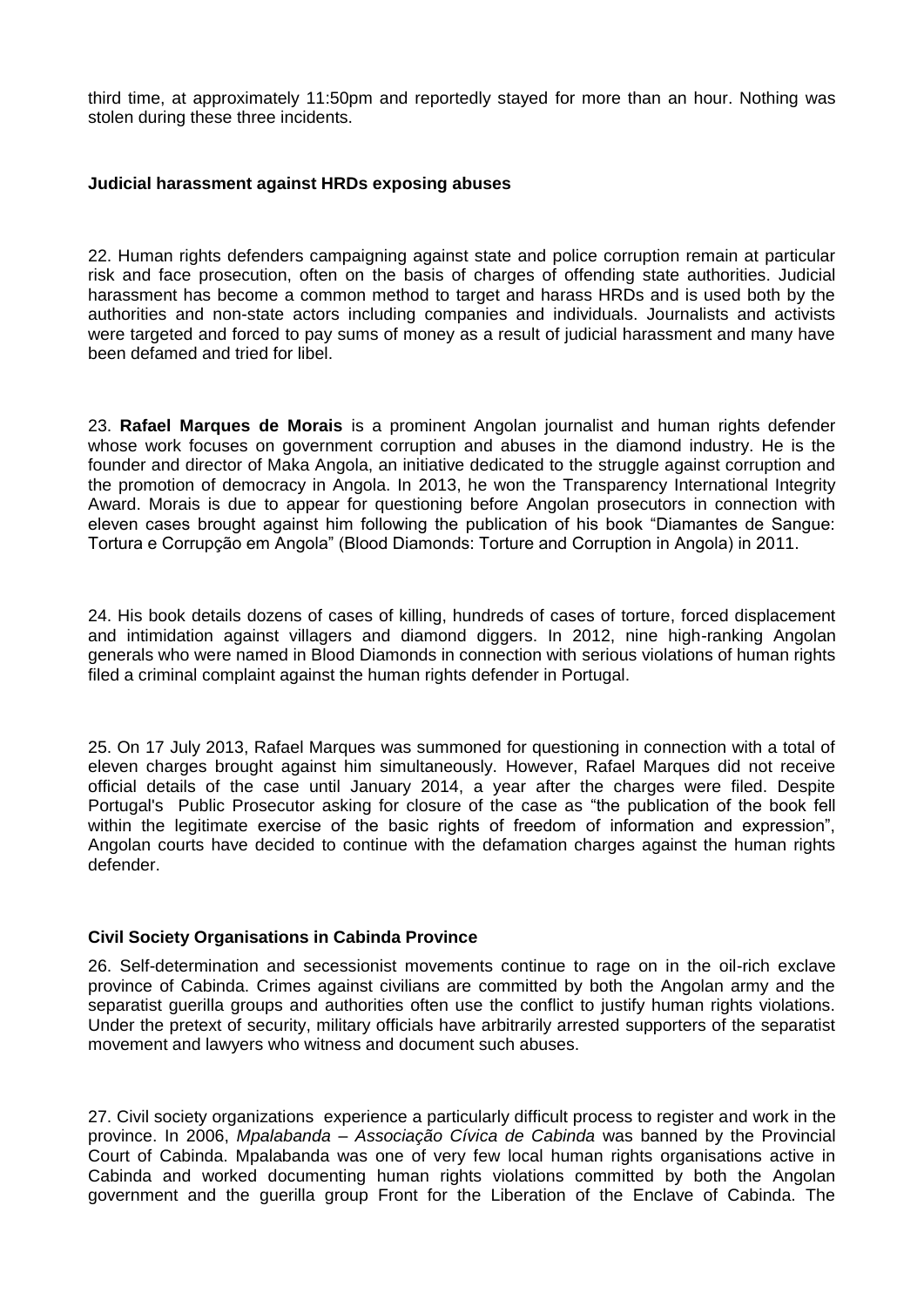third time, at approximately 11:50pm and reportedly stayed for more than an hour. Nothing was stolen during these three incidents.

#### **Judicial harassment against HRDs exposing abuses**

22. Human rights defenders campaigning against state and police corruption remain at particular risk and face prosecution, often on the basis of charges of offending state authorities. Judicial harassment has become a common method to target and harass HRDs and is used both by the authorities and non-state actors including companies and individuals. Journalists and activists were targeted and forced to pay sums of money as a result of judicial harassment and many have been defamed and tried for libel.

23. **Rafael Marques de Morais** is a prominent Angolan journalist and human rights defender whose work focuses on government corruption and abuses in the diamond industry. He is the founder and director of Maka Angola, an initiative dedicated to the struggle against corruption and the promotion of democracy in Angola. In 2013, he won the Transparency International Integrity Award. Morais is due to appear for questioning before Angolan prosecutors in connection with eleven cases brought against him following the publication of his book "Diamantes de Sangue: Tortura e Corrupção em Angola" (Blood Diamonds: Torture and Corruption in Angola) in 2011.

24. His book details dozens of cases of killing, hundreds of cases of torture, forced displacement and intimidation against villagers and diamond diggers. In 2012, nine high-ranking Angolan generals who were named in Blood Diamonds in connection with serious violations of human rights filed a criminal complaint against the human rights defender in Portugal.

25. On 17 July 2013, Rafael Marques was summoned for questioning in connection with a total of eleven charges brought against him simultaneously. However, Rafael Marques did not receive official details of the case until January 2014, a year after the charges were filed. Despite Portugal's Public Prosecutor asking for closure of the case as "the publication of the book fell within the legitimate exercise of the basic rights of freedom of information and expression". Angolan courts have decided to continue with the defamation charges against the human rights defender.

# **Civil Society Organisations in Cabinda Province**

26. Self-determination and secessionist movements continue to rage on in the oil-rich exclave province of Cabinda. Crimes against civilians are committed by both the Angolan army and the separatist guerilla groups and authorities often use the conflict to justify human rights violations. Under the pretext of security, military officials have arbitrarily arrested supporters of the separatist movement and lawyers who witness and document such abuses.

27. Civil society organizations experience a particularly difficult process to register and work in the province. In 2006, *Mpalabanda – Associação Cívica de Cabinda* was banned by the Provincial Court of Cabinda. Mpalabanda was one of very few local human rights organisations active in Cabinda and worked documenting human rights violations committed by both the Angolan government and the guerilla group Front for the Liberation of the Enclave of Cabinda. The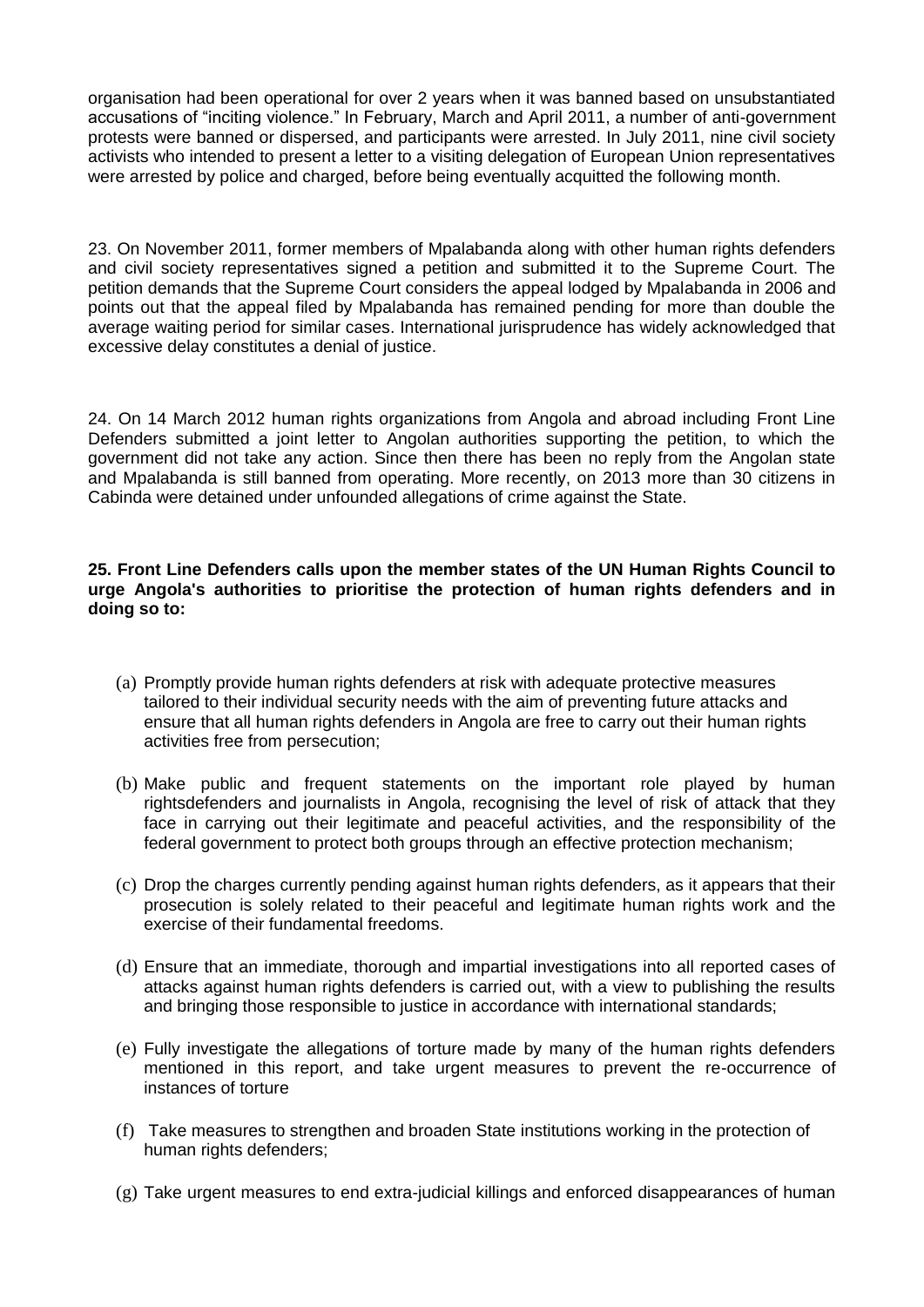organisation had been operational for over 2 years when it was banned based on unsubstantiated accusations of "inciting violence." In February, March and April 2011, a number of anti-government protests were banned or dispersed, and participants were arrested. In July 2011, nine civil society activists who intended to present a letter to a visiting delegation of European Union representatives were arrested by police and charged, before being eventually acquitted the following month.

23. On November 2011, former members of Mpalabanda along with other human rights defenders and civil society representatives signed a petition and submitted it to the Supreme Court. The petition demands that the Supreme Court considers the appeal lodged by Mpalabanda in 2006 and points out that the appeal filed by Mpalabanda has remained pending for more than double the average waiting period for similar cases. International jurisprudence has widely acknowledged that excessive delay constitutes a denial of justice.

24. On 14 March 2012 human rights organizations from Angola and abroad including Front Line Defenders submitted a joint letter to Angolan authorities supporting the petition, to which the government did not take any action. Since then there has been no reply from the Angolan state and Mpalabanda is still banned from operating. More recently, on 2013 more than 30 citizens in Cabinda were detained under unfounded allegations of crime against the State.

### **25. Front Line Defenders calls upon the member states of the UN Human Rights Council to urge Angola's authorities to prioritise the protection of human rights defenders and in doing so to:**

- (a) Promptly provide human rights defenders at risk with adequate protective measures tailored to their individual security needs with the aim of preventing future attacks and ensure that all human rights defenders in Angola are free to carry out their human rights activities free from persecution;
- (b) Make public and frequent statements on the important role played by human rightsdefenders and journalists in Angola, recognising the level of risk of attack that they face in carrying out their legitimate and peaceful activities, and the responsibility of the federal government to protect both groups through an effective protection mechanism;
- (c) Drop the charges currently pending against human rights defenders, as it appears that their prosecution is solely related to their peaceful and legitimate human rights work and the exercise of their fundamental freedoms.
- (d) Ensure that an immediate, thorough and impartial investigations into all reported cases of attacks against human rights defenders is carried out, with a view to publishing the results and bringing those responsible to justice in accordance with international standards;
- (e) Fully investigate the allegations of torture made by many of the human rights defenders mentioned in this report, and take urgent measures to prevent the re-occurrence of instances of torture
- (f) Take measures to strengthen and broaden State institutions working in the protection of human rights defenders;
- (g) Take urgent measures to end extra-judicial killings and enforced disappearances of human